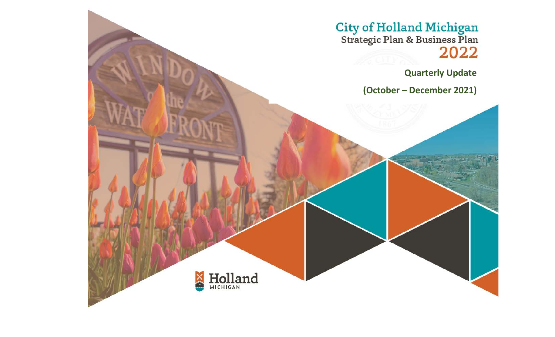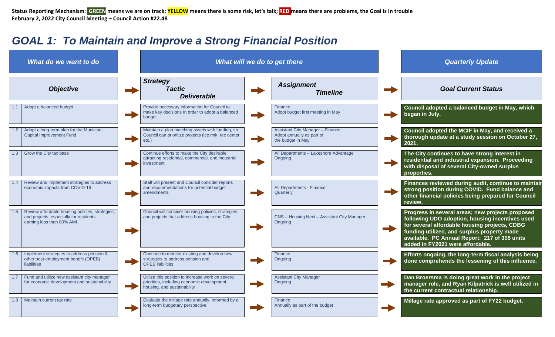**Status Reporting Mechanism**: **GREEN means we are on track; YELLOW means there is some risk, let's talk; RED means there are problems, the Goal is in trouble February 2, 2022 City Council Meeting – Council Action #22.48**

## *GOAL 1: To Maintain and Improve a Strong Financial Position*

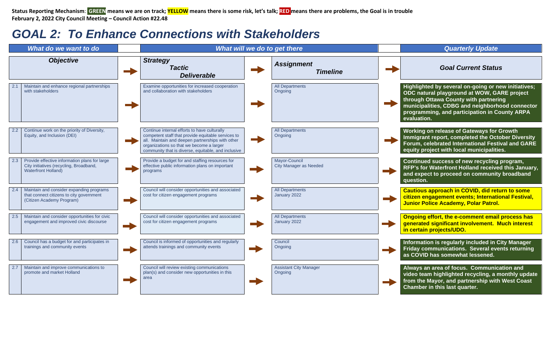**Status Reporting Mechanism**: **GREEN means we are on track; YELLOW means there is some risk, let's talk; RED means there are problems, the Goal is in trouble February 2, 2022 City Council Meeting – Council Action #22.48**

## *GOAL 2: To Enhance Connections with Stakeholders*

| What do we want to do                                                                                                         | What will we do to get there                                                                                                                                                                                                                              |  |                                                |  | <b>Quarterly Update</b>                                                                                                                                                                                                                                        |
|-------------------------------------------------------------------------------------------------------------------------------|-----------------------------------------------------------------------------------------------------------------------------------------------------------------------------------------------------------------------------------------------------------|--|------------------------------------------------|--|----------------------------------------------------------------------------------------------------------------------------------------------------------------------------------------------------------------------------------------------------------------|
| <b>Objective</b>                                                                                                              | <b>Strategy</b><br><b>Tactic</b><br><b>Deliverable</b>                                                                                                                                                                                                    |  | <b>Assignment</b><br><b>Timeline</b>           |  | <b>Goal Current Status</b>                                                                                                                                                                                                                                     |
| Maintain and enhance regional partnerships<br>with stakeholders                                                               | Examine opportunities for increased cooperation<br>and collaboration with stakeholders                                                                                                                                                                    |  | <b>All Departments</b><br>Ongoing              |  | Highlighted by several on-going or new initiatives;<br>ODC natural playground at WOW, GARE project<br>through Ottawa County with partnering<br>municipalities, CDBG and neighborhood connector<br>programming, and participation in County ARPA<br>evaluation. |
| Continue work on the priority of Diversity,<br>Equity, and Inclusion (DEI)                                                    | Continue internal efforts to have culturally<br>competent staff that provide equitable services to<br>all. Maintain and deepen partnerships with other<br>organizations so that we become a larger<br>community that is diverse, equitable, and inclusive |  | <b>All Departments</b><br>Ongoing              |  | <b>Working on release of Gateways for Growth</b><br>Immigrant report, completed the October Diversity<br>Forum, celebrated International Festival and GARE<br>equity project with local municipalities.                                                        |
| Provide effective information plans for large<br>2.3<br>City initiatives (recycling, Broadband,<br><b>Waterfront Holland)</b> | Provide a budget for and staffing resources for<br>effective public information plans on important<br>programs                                                                                                                                            |  | Mavor-Council<br><b>City Manager as Needed</b> |  | Continued success of new recycling program,<br>RFP's for Waterfront Holland received this January,<br>and expect to proceed on community broadband<br>question.                                                                                                |
| Maintain and consider expanding programs<br>that connect citizens to city government<br>(Citizen Academy Program)             | Council will consider opportunities and associated<br>cost for citizen engagement programs                                                                                                                                                                |  | <b>All Departments</b><br>January 2022         |  | Cautious approach in COVID, did return to some<br>citizen engagement events; International Festival,<br><b>Junior Police Academy, Polar Patrol.</b>                                                                                                            |
| Maintain and consider opportunities for civic<br>2.5<br>engagement and improved civic discourse                               | Council will consider opportunities and associated<br>cost for citizen engagement programs                                                                                                                                                                |  | <b>All Departments</b><br>January 2022         |  | Ongoing effort, the e-comment email process has<br>generated significant involvement. Much interest<br>in certain projects/UDO.                                                                                                                                |
| Council has a budget for and participates in<br>trainings and community events                                                | Council is informed of opportunities and regularly<br>attends trainings and community events                                                                                                                                                              |  | Council<br>Ongoing                             |  | Information is regularly included in City Manager<br>Friday communications. Several events returning<br>as COVID has somewhat lessened.                                                                                                                        |
| Maintain and improve communications to<br>promote and market Holland                                                          | Council will review existing communications<br>plan(s) and consider new opportunities in this<br>area                                                                                                                                                     |  | <b>Assistant City Manager</b><br>Ongoing       |  | Always an area of focus. Communication and<br>video team highlighted recycling, a monthly update<br>from the Mayor, and partnership with West Coast<br>Chamber in this last quarter.                                                                           |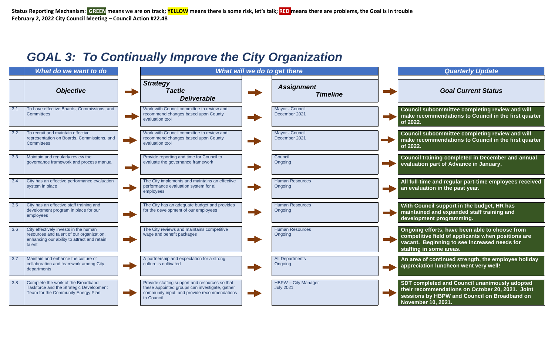## *GOAL 3: To Continually Improve the City Organization*